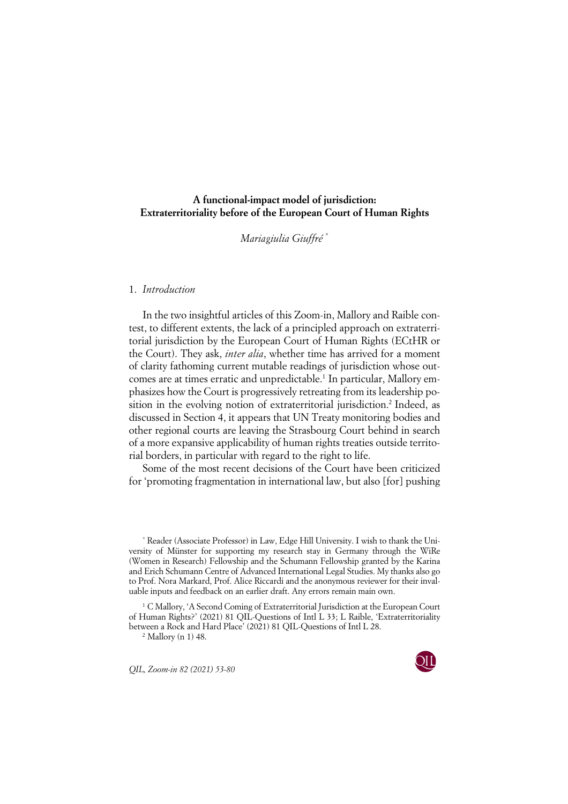# **A functional-impact model of jurisdiction: Extraterritoriality before of the European Court of Human Rights**

*Mariagiulia Giuffré* \*

# 1. *Introduction*

In the two insightful articles of this Zoom-in, Mallory and Raible contest, to different extents, the lack of a principled approach on extraterritorial jurisdiction by the European Court of Human Rights (ECtHR or the Court). They ask, *inter alia*, whether time has arrived for a moment of clarity fathoming current mutable readings of jurisdiction whose outcomes are at times erratic and unpredictable.<sup>1</sup> In particular, Mallory emphasizes how the Court is progressively retreating from its leadership position in the evolving notion of extraterritorial jurisdiction.<sup>2</sup> Indeed, as discussed in Section 4, it appears that UN Treaty monitoring bodies and other regional courts are leaving the Strasbourg Court behind in search of a more expansive applicability of human rights treaties outside territorial borders, in particular with regard to the right to life.

Some of the most recent decisions of the Court have been criticized for 'promoting fragmentation in international law, but also [for] pushing

<sup>2</sup> Mallory (n 1) 48.

*QIL, Zoom-in 82 (2021) 53-80* 



<sup>\*</sup> Reader (Associate Professor) in Law, Edge Hill University. I wish to thank the University of Münster for supporting my research stay in Germany through the WiRe (Women in Research) Fellowship and the Schumann Fellowship granted by the Karina and Erich Schumann Centre of Advanced International Legal Studies. My thanks also go to Prof. Nora Markard, Prof. Alice Riccardi and the anonymous reviewer for their invaluable inputs and feedback on an earlier draft. Any errors remain main own.

<sup>&</sup>lt;sup>1</sup> C Mallory, 'A Second Coming of Extraterritorial Jurisdiction at the European Court of Human Rights?' (2021) 81 QIL-Questions of Intl L 33; L Raible, 'Extraterritoriality between a Rock and Hard Place' (2021) 81 QIL-Questions of Intl L 28.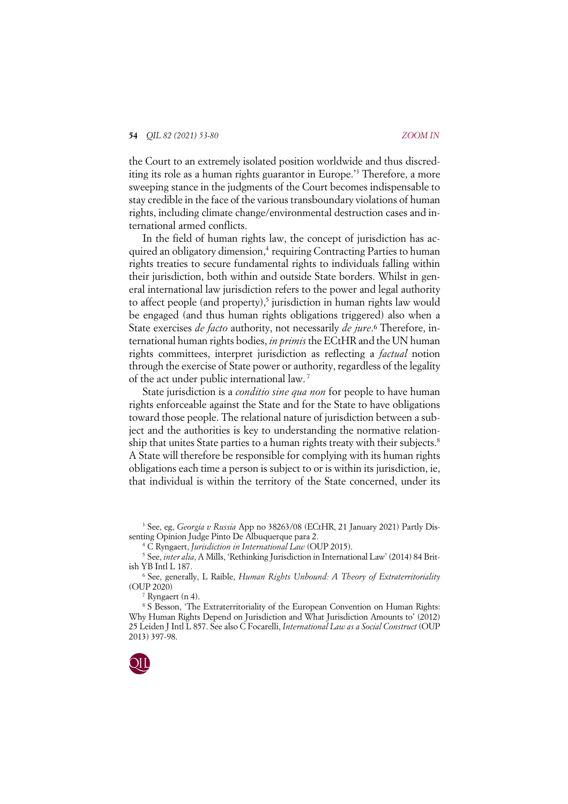the Court to an extremely isolated position worldwide and thus discrediting its role as a human rights guarantor in Europe.'3 Therefore, a more sweeping stance in the judgments of the Court becomes indispensable to stay credible in the face of the various transboundary violations of human rights, including climate change/environmental destruction cases and international armed conflicts.

In the field of human rights law, the concept of jurisdiction has acquired an obligatory dimension,<sup>4</sup> requiring Contracting Parties to human rights treaties to secure fundamental rights to individuals falling within their jurisdiction, both within and outside State borders. Whilst in general international law jurisdiction refers to the power and legal authority to affect people (and property),<sup>5</sup> jurisdiction in human rights law would be engaged (and thus human rights obligations triggered) also when a State exercises *de facto* authority, not necessarily *de jure*.<sup>6</sup> Therefore, international human rights bodies, *in primis* the ECtHR and the UN human rights committees, interpret jurisdiction as reflecting a *factual* notion through the exercise of State power or authority, regardless of the legality of the act under public international law. <sup>7</sup>

State jurisdiction is a *conditio sine qua non* for people to have human rights enforceable against the State and for the State to have obligations toward those people. The relational nature of jurisdiction between a subject and the authorities is key to understanding the normative relationship that unites State parties to a human rights treaty with their subjects.<sup>8</sup> A State will therefore be responsible for complying with its human rights obligations each time a person is subject to or is within its jurisdiction, ie, that individual is within the territory of the State concerned, under its

<sup>&</sup>lt;sup>8</sup> S Besson, 'The Extraterritoriality of the European Convention on Human Rights: Why Human Rights Depend on Jurisdiction and What Jurisdiction Amounts to' (2012) 25 Leiden J Intl L 857. See also C Focarelli, *International Law as a Social Construct* (OUP 2013) 397-98.



<sup>3</sup> See, eg, *Georgia v Russia* App no 38263/08 (ECtHR, 21 January 2021) Partly Dissenting Opinion Judge Pinto De Albuquerque para 2.

<sup>4</sup> C Ryngaert, *Jurisdiction in International Law* (OUP 2015).

<sup>5</sup> See, *inter alia*, A Mills, 'Rethinking Jurisdiction in International Law' (2014) 84 British YB Intl L 187.

<sup>6</sup> See, generally, L Raible, *Human Rights Unbound: A Theory of Extraterritoriality* (OUP 2020)

<sup>7</sup> Ryngaert (n 4).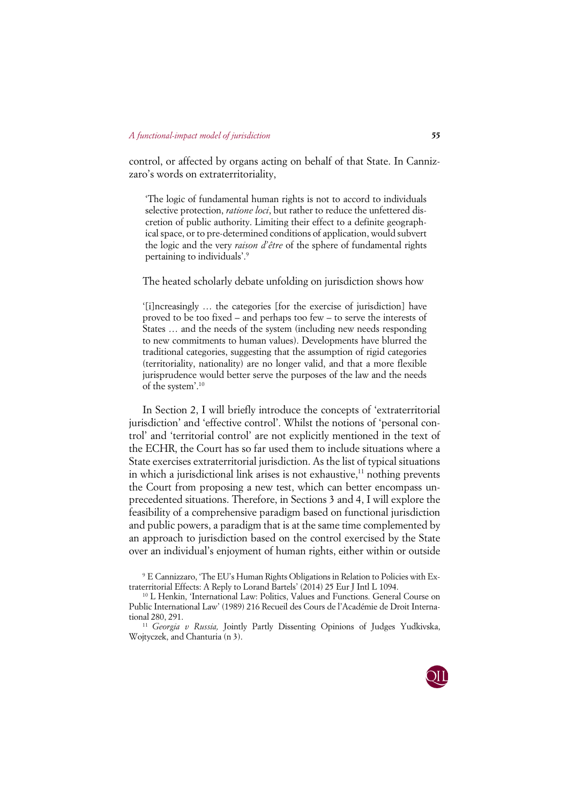control, or affected by organs acting on behalf of that State. In Cannizzaro's words on extraterritoriality,

'The logic of fundamental human rights is not to accord to individuals selective protection, *ratione loci*, but rather to reduce the unfettered discretion of public authority. Limiting their effect to a definite geographical space, or to pre-determined conditions of application, would subvert the logic and the very *raison d'être* of the sphere of fundamental rights pertaining to individuals'. 9

The heated scholarly debate unfolding on jurisdiction shows how

'[i]ncreasingly … the categories [for the exercise of jurisdiction] have proved to be too fixed – and perhaps too few – to serve the interests of States … and the needs of the system (including new needs responding to new commitments to human values). Developments have blurred the traditional categories, suggesting that the assumption of rigid categories (territoriality, nationality) are no longer valid, and that a more flexible jurisprudence would better serve the purposes of the law and the needs of the system'. 10

In Section 2, I will briefly introduce the concepts of 'extraterritorial jurisdiction' and 'effective control'. Whilst the notions of 'personal control' and 'territorial control' are not explicitly mentioned in the text of the ECHR, the Court has so far used them to include situations where a State exercises extraterritorial jurisdiction. As the list of typical situations in which a jurisdictional link arises is not exhaustive, <sup>11</sup> nothing prevents the Court from proposing a new test, which can better encompass unprecedented situations. Therefore, in Sections 3 and 4, I will explore the feasibility of a comprehensive paradigm based on functional jurisdiction and public powers, a paradigm that is at the same time complemented by an approach to jurisdiction based on the control exercised by the State over an individual's enjoyment of human rights, either within or outside

<sup>11</sup> *Georgia v Russia,* Jointly Partly Dissenting Opinions of Judges Yudkivska, Wojtyczek, and Chanturia (n 3).



<sup>9</sup> E Cannizzaro, 'The EU's Human Rights Obligations in Relation to Policies with Extraterritorial Effects: A Reply to Lorand Bartels' (2014) 25 Eur J Intl L 1094.

<sup>10</sup> L Henkin, 'International Law: Politics, Values and Functions. General Course on Public International Law' (1989) 216 Recueil des Cours de l'Académie de Droit International 280, 291.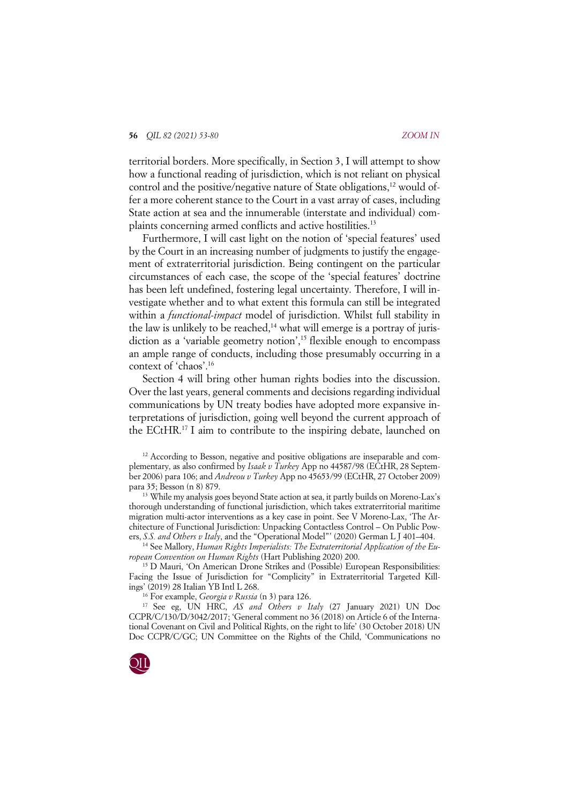territorial borders. More specifically, in Section 3, I will attempt to show how a functional reading of jurisdiction, which is not reliant on physical control and the positive/negative nature of State obligations,<sup>12</sup> would offer a more coherent stance to the Court in a vast array of cases, including State action at sea and the innumerable (interstate and individual) complaints concerning armed conflicts and active hostilities.<sup>13</sup>

Furthermore, I will cast light on the notion of 'special features' used by the Court in an increasing number of judgments to justify the engagement of extraterritorial jurisdiction. Being contingent on the particular circumstances of each case, the scope of the 'special features' doctrine has been left undefined, fostering legal uncertainty. Therefore, I will investigate whether and to what extent this formula can still be integrated within a *functional-impact* model of jurisdiction. Whilst full stability in the law is unlikely to be reached, $14$  what will emerge is a portray of jurisdiction as a 'variable geometry notion',<sup>15</sup> flexible enough to encompass an ample range of conducts, including those presumably occurring in a context of 'chaos'.16

Section 4 will bring other human rights bodies into the discussion. Over the last years, general comments and decisions regarding individual communications by UN treaty bodies have adopted more expansive interpretations of jurisdiction, going well beyond the current approach of the ECtHR.17 I aim to contribute to the inspiring debate, launched on

para 35; Besson (n 8) 879. 13 While my analysis goes beyond State action at sea, it partly builds on Moreno-Lax's thorough understanding of functional jurisdiction, which takes extraterritorial maritime migration multi-actor interventions as a key case in point. See V Moreno-Lax, 'The Architecture of Functional Jurisdiction: Unpacking Contactless Control – On Public Powers, *S.S. and Others v Italy*, and the "Operational Model"' (2020) German L J 401–404.

<sup>14</sup> See Mallory, *Human Rights Imperialists: The Extraterritorial Application of the European Convention on Human Rights* (Hart Publishing 2020) 200.

<sup>15</sup> D Mauri, 'On American Drone Strikes and (Possible) European Responsibilities: Facing the Issue of Jurisdiction for "Complicity" in Extraterritorial Targeted Killings' (2019) 28 Italian YB Intl L 268.

<sup>16</sup> For example, *Georgia v Russia* (n 3) para 126.

<sup>17</sup> See eg, UN HRC, *AS and Others v Italy* (27 January 2021) UN Doc CCPR/C/130/D/3042/2017; 'General comment no 36 (2018) on Article 6 of the International Covenant on Civil and Political Rights, on the right to life' (30 October 2018) UN Doc CCPR/C/GC; UN Committee on the Rights of the Child, 'Communications no



<sup>&</sup>lt;sup>12</sup> According to Besson, negative and positive obligations are inseparable and complementary, as also confirmed by *Isaak v Turkey* App no 44587/98 (ECtHR, 28 September 2006) para 106; and *Andreou v Turkey* App no 45653/99 (ECtHR, 27 October 2009)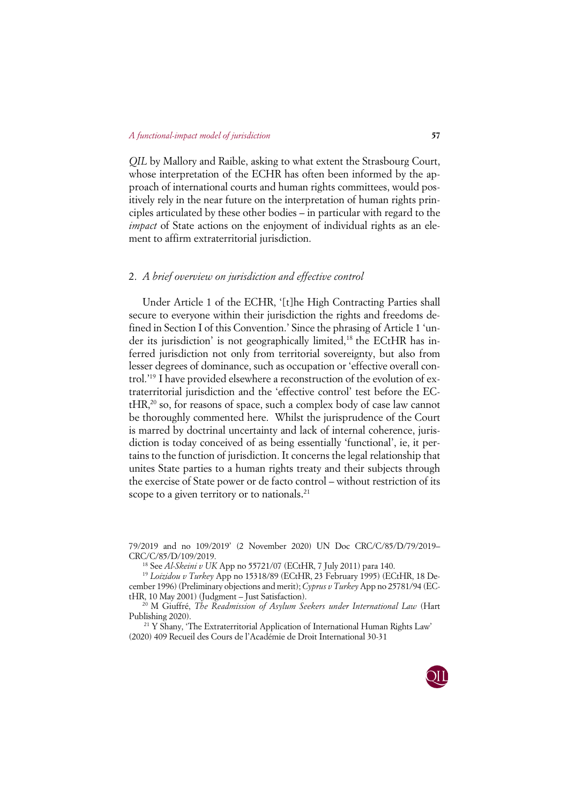*QIL* by Mallory and Raible, asking to what extent the Strasbourg Court, whose interpretation of the ECHR has often been informed by the approach of international courts and human rights committees, would positively rely in the near future on the interpretation of human rights principles articulated by these other bodies – in particular with regard to the *impact* of State actions on the enjoyment of individual rights as an element to affirm extraterritorial jurisdiction.

# 2. *A brief overview on jurisdiction and effective control*

Under Article 1 of the ECHR, '[t]he High Contracting Parties shall secure to everyone within their jurisdiction the rights and freedoms defined in Section I of this Convention.' Since the phrasing of Article 1 'under its jurisdiction' is not geographically limited,<sup>18</sup> the ECtHR has inferred jurisdiction not only from territorial sovereignty, but also from lesser degrees of dominance, such as occupation or 'effective overall control.'19 I have provided elsewhere a reconstruction of the evolution of extraterritorial jurisdiction and the 'effective control' test before the EC $tHR<sup>20</sup>$  so, for reasons of space, such a complex body of case law cannot be thoroughly commented here.Whilst the jurisprudence of the Court is marred by doctrinal uncertainty and lack of internal coherence, jurisdiction is today conceived of as being essentially 'functional', ie, it pertains to the function of jurisdiction. It concerns the legal relationship that unites State parties to a human rights treaty and their subjects through the exercise of State power or de facto control – without restriction of its scope to a given territory or to nationals.<sup>21</sup>

79/2019 and no 109/2019' (2 November 2020) UN Doc CRC/C/85/D/79/2019– CRC/C/85/D/109/2019.

<sup>18</sup> See *Al-Skeini v UK* App no 55721/07 (ECtHR, 7 July 2011) para 140.

<sup>19</sup> *Loizidou v Turkey* App no 15318/89 (ECtHR, 23 February 1995) (ECtHR, 18 December 1996) (Preliminary objections and merit); *Cyprus v Turkey* App no 25781/94 (ECtHR, 10 May 2001) (Judgment – Just Satisfaction).

<sup>20</sup> M Giuffré, *The Readmission of Asylum Seekers under International Law* (Hart Publishing 2020).

<sup>21</sup> Y Shany, 'The Extraterritorial Application of International Human Rights Law' (2020) 409 Recueil des Cours de l'Académie de Droit International 30-31

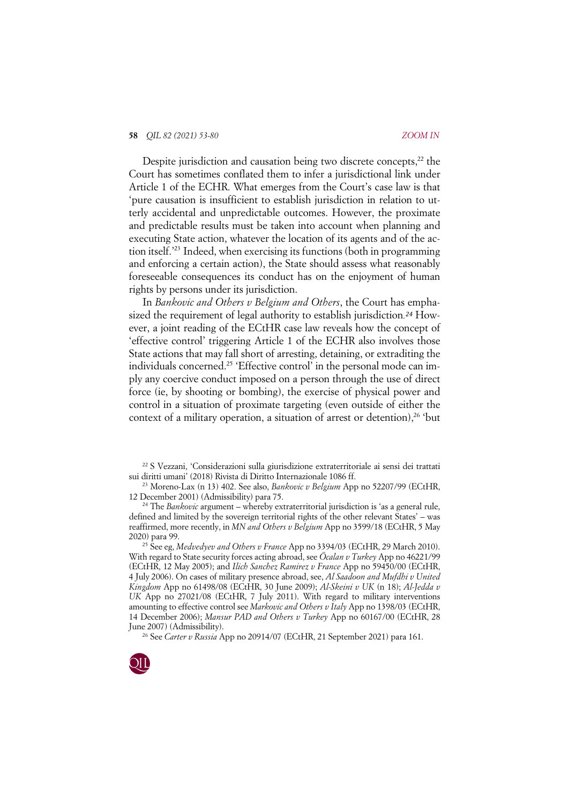#### **58** *QIL 82 (2021) 53-80 ZOOM IN*

Despite jurisdiction and causation being two discrete concepts.<sup>22</sup> the Court has sometimes conflated them to infer a jurisdictional link under Article 1 of the ECHR. What emerges from the Court's case law is that 'pure causation is insufficient to establish jurisdiction in relation to utterly accidental and unpredictable outcomes. However, the proximate and predictable results must be taken into account when planning and executing State action, whatever the location of its agents and of the action itself.'23 Indeed, when exercising its functions (both in programming and enforcing a certain action), the State should assess what reasonably foreseeable consequences its conduct has on the enjoyment of human rights by persons under its jurisdiction.

In *Bankovic and Others v Belgium and Others*, the Court has emphasized the requirement of legal authority to establish jurisdiction*.<sup>24</sup>* However, a joint reading of the ECtHR case law reveals how the concept of 'effective control' triggering Article 1 of the ECHR also involves those State actions that may fall short of arresting, detaining, or extraditing the individuals concerned.<sup>25</sup> 'Effective control' in the personal mode can imply any coercive conduct imposed on a person through the use of direct force (ie, by shooting or bombing), the exercise of physical power and control in a situation of proximate targeting (even outside of either the context of a military operation, a situation of arrest or detention),  $26$  'but

<sup>22</sup> S Vezzani, 'Considerazioni sulla giurisdizione extraterritoriale ai sensi dei trattati sui diritti umani' (2018) Rivista di Diritto Internazionale 1086 ff.

<sup>23</sup> Moreno-Lax (n 13) 402. See also, *Bankovic v Belgium* App no 52207/99 (ECtHR, 12 December 2001) (Admissibility) para 75.

<sup>24</sup> The *Bankovic* argument – whereby extraterritorial jurisdiction is 'as a general rule, defined and limited by the sovereign territorial rights of the other relevant States' – was reaffirmed, more recently, in *MN and Others v Belgium* App no 3599/18 (ECtHR, 5 May 2020) para 99.

<sup>25</sup> See eg, *Medvedyev and Others v France* App no 3394/03 (ECtHR, 29 March 2010). With regard to State security forces acting abroad, see *Öcalan v Turkey* App no 46221/99 (ECtHR, 12 May 2005); and *Ilich Sanchez Ramirez v France* App no 59450/00 (ECtHR, 4 July 2006). On cases of military presence abroad, see, *Al Saadoon and Mufdhi v United Kingdom* App no 61498/08 (ECtHR, 30 June 2009); *Al-Skeini v UK* (n 18); *Al-Jedda v UK* App no 27021/08 (ECtHR, 7 July 2011). With regard to military interventions amounting to effective control see *Markovic and Others v Italy* App no 1398/03 (ECtHR, 14 December 2006); *Mansur PAD and Others v Turkey* App no 60167/00 (ECtHR, 28 June 2007) (Admissibility).

<sup>26</sup> See *Carter v Russia* App no 20914/07 (ECtHR, 21 September 2021) para 161.

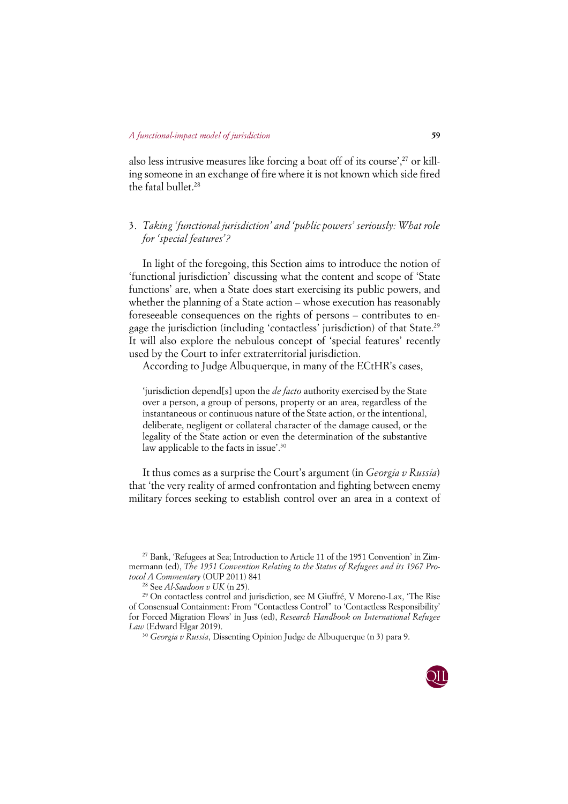also less intrusive measures like forcing a boat off of its course', $27$  or killing someone in an exchange of fire where it is not known which side fired the fatal bullet.<sup>28</sup>

# 3. *Taking 'functional jurisdiction' and 'public powers' seriously: What role for 'special features'?*

In light of the foregoing, this Section aims to introduce the notion of 'functional jurisdiction' discussing what the content and scope of 'State functions' are, when a State does start exercising its public powers, and whether the planning of a State action – whose execution has reasonably foreseeable consequences on the rights of persons – contributes to engage the jurisdiction (including 'contactless' jurisdiction) of that State.29 It will also explore the nebulous concept of 'special features' recently used by the Court to infer extraterritorial jurisdiction.

According to Judge Albuquerque, in many of the ECtHR's cases,

'jurisdiction depend[s] upon the *de facto* authority exercised by the State over a person, a group of persons, property or an area, regardless of the instantaneous or continuous nature of the State action, or the intentional, deliberate, negligent or collateral character of the damage caused, or the legality of the State action or even the determination of the substantive law applicable to the facts in issue'. 30

It thus comes as a surprise the Court's argument (in *Georgia v Russia*) that 'the very reality of armed confrontation and fighting between enemy military forces seeking to establish control over an area in a context of

<sup>30</sup> *Georgia v Russia*, Dissenting Opinion Judge de Albuquerque (n 3) para 9.



<sup>27</sup> Bank, 'Refugees at Sea; Introduction to Article 11 of the 1951 Convention' in Zimmermann (ed), *The 1951 Convention Relating to the Status of Refugees and its 1967 Protocol A Commentary* (OUP 2011) 841

<sup>28</sup> See *Al-Saadoon v UK* (n 25).

<sup>29</sup> On contactless control and jurisdiction, see M Giuffré, V Moreno-Lax, 'The Rise of Consensual Containment: From "Contactless Control" to 'Contactless Responsibility' for Forced Migration Flows' in Juss (ed), *Research Handbook on International Refugee Law* (Edward Elgar 2019).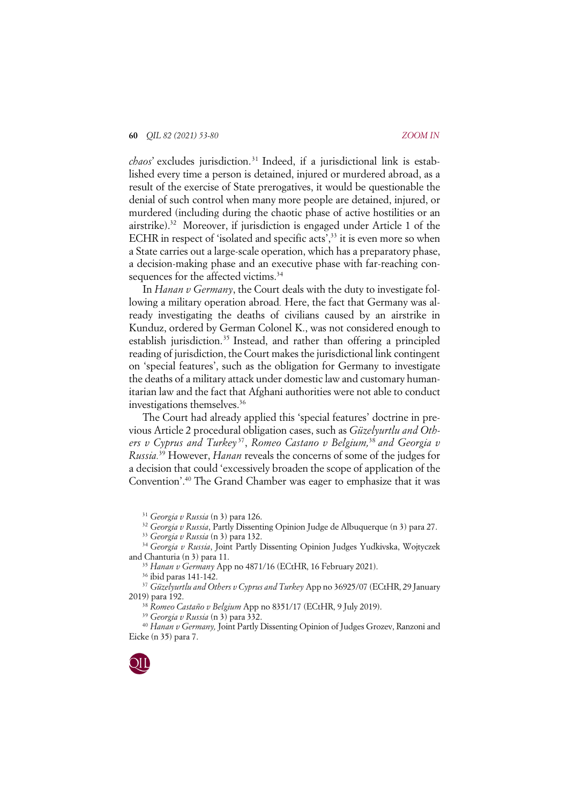*chaos*' excludes jurisdiction. <sup>31</sup> Indeed, if a jurisdictional link is established every time a person is detained, injured or murdered abroad, as a result of the exercise of State prerogatives, it would be questionable the denial of such control when many more people are detained, injured, or murdered (including during the chaotic phase of active hostilities or an airstrike).32 Moreover, if jurisdiction is engaged under Article 1 of the ECHR in respect of 'isolated and specific acts',<sup>33</sup> it is even more so when a State carries out a large-scale operation, which has a preparatory phase, a decision-making phase and an executive phase with far-reaching consequences for the affected victims.<sup>34</sup>

In *Hanan v Germany*, the Court deals with the duty to investigate following a military operation abroad*.* Here, the fact that Germany was already investigating the deaths of civilians caused by an airstrike in Kunduz, ordered by German Colonel K., was not considered enough to establish jurisdiction.<sup>35</sup> Instead, and rather than offering a principled reading of jurisdiction, the Court makes the jurisdictional link contingent on 'special features', such as the obligation for Germany to investigate the deaths of a military attack under domestic law and customary humanitarian law and the fact that Afghani authorities were not able to conduct investigations themselves.<sup>36</sup>

The Court had already applied this 'special features' doctrine in previous Article 2 procedural obligation cases, such as *Güzelyurtlu and Others v Cyprus and Turkey* 37, *Romeo Castano v Belgium,*<sup>38</sup> *and Georgia v Russia.*<sup>39</sup> However, *Hanan* reveals the concerns of some of the judges for a decision that could 'excessively broaden the scope of application of the Convention'.40 The Grand Chamber was eager to emphasize that it was

<sup>31</sup> *Georgia v Russia* (n 3) para 126.

<sup>32</sup> *Georgia v Russia*, Partly Dissenting Opinion Judge de Albuquerque (n 3) para 27.

<sup>33</sup> *Georgia v Russia* (n 3) para 132.

<sup>34</sup> *Georgia v Russia*, Joint Partly Dissenting Opinion Judges Yudkivska, Wojtyczek and Chanturia (n 3) para 11.

<sup>35</sup> *Hanan v Germany* App no 4871/16 (ECtHR, 16 February 2021).

<sup>36</sup> ibid paras 141-142.

<sup>37</sup> *Güzelyurtlu and Others v Cyprus and Turkey* App no 36925/07 (ECtHR, 29 January 2019) para 192. 38 *Romeo Castaño <sup>v</sup> Belgium* App no 8351/17 (ECtHR, 9 July 2019).

<sup>39</sup> *Georgia v Russia* (n 3) para 332.

<sup>40</sup> *Hanan v Germany,* Joint Partly Dissenting Opinion of Judges Grozev, Ranzoni and Eicke (n 35) para 7.

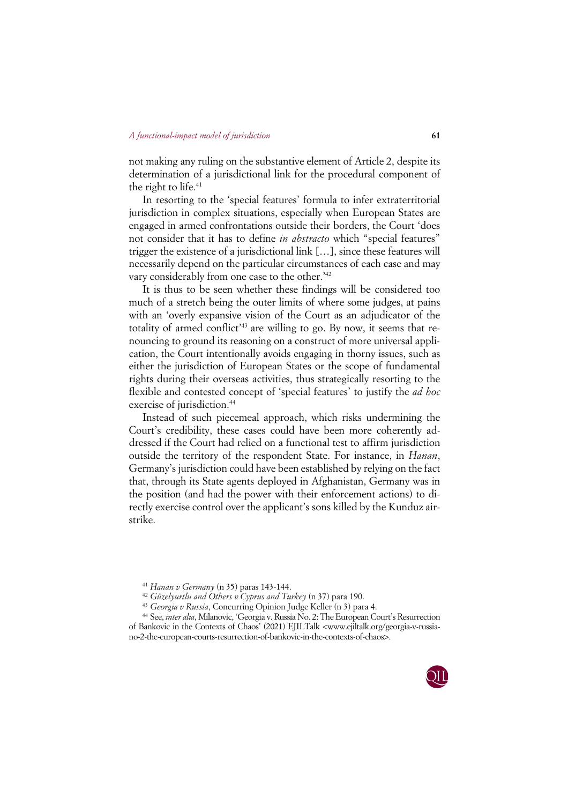not making any ruling on the substantive element of Article 2, despite its determination of a jurisdictional link for the procedural component of the right to life.<sup>41</sup>

In resorting to the 'special features' formula to infer extraterritorial jurisdiction in complex situations, especially when European States are engaged in armed confrontations outside their borders, the Court 'does not consider that it has to define *in abstracto* which "special features" trigger the existence of a jurisdictional link […], since these features will necessarily depend on the particular circumstances of each case and may vary considerably from one case to the other.<sup>'42</sup>

It is thus to be seen whether these findings will be considered too much of a stretch being the outer limits of where some judges, at pains with an 'overly expansive vision of the Court as an adjudicator of the totality of armed conflict'43 are willing to go. By now, it seems that renouncing to ground its reasoning on a construct of more universal application, the Court intentionally avoids engaging in thorny issues, such as either the jurisdiction of European States or the scope of fundamental rights during their overseas activities, thus strategically resorting to the flexible and contested concept of 'special features' to justify the *ad hoc* exercise of jurisdiction.<sup>44</sup>

Instead of such piecemeal approach, which risks undermining the Court's credibility, these cases could have been more coherently addressed if the Court had relied on a functional test to affirm jurisdiction outside the territory of the respondent State. For instance, in *Hanan*, Germany's jurisdiction could have been established by relying on the fact that, through its State agents deployed in Afghanistan, Germany was in the position (and had the power with their enforcement actions) to directly exercise control over the applicant's sons killed by the Kunduz airstrike.

<sup>44</sup> See, *inter alia*, Milanovic, 'Georgia v. Russia No. 2: The European Court's Resurrection of Bankovic in the Contexts of Chaos' (2021) EJILTalk <www.ejiltalk.org/georgia-v-russiano-2-the-european-courts-resurrection-of-bankovic-in-the-contexts-of-chaos>.



<sup>41</sup> *Hanan v Germany* (n 35) paras 143-144.

<sup>42</sup> *Güzelyurtlu and Others v Cyprus and Turkey* (n 37) para 190. 43 *Georgia v Russia*, Concurring Opinion Judge Keller (n 3) para 4.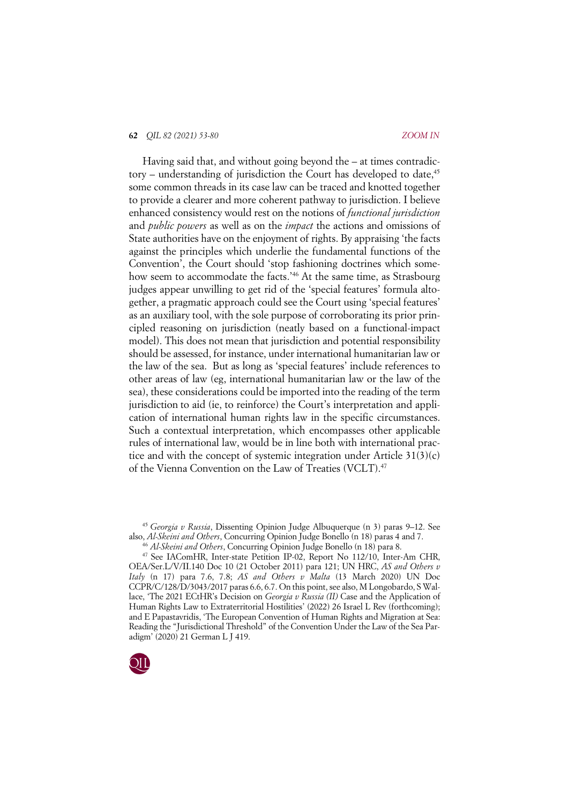### **62** *QIL 82 (2021) 53-80 ZOOM IN*

Having said that, and without going beyond the – at times contradictory – understanding of jurisdiction the Court has developed to date.<sup>45</sup> some common threads in its case law can be traced and knotted together to provide a clearer and more coherent pathway to jurisdiction. I believe enhanced consistency would rest on the notions of *functional jurisdiction* and *public powers* as well as on the *impact* the actions and omissions of State authorities have on the enjoyment of rights. By appraising 'the facts against the principles which underlie the fundamental functions of the Convention', the Court should 'stop fashioning doctrines which somehow seem to accommodate the facts.<sup>246</sup> At the same time, as Strasbourg judges appear unwilling to get rid of the 'special features' formula altogether, a pragmatic approach could see the Court using 'special features' as an auxiliary tool, with the sole purpose of corroborating its prior principled reasoning on jurisdiction (neatly based on a functional-impact model). This does not mean that jurisdiction and potential responsibility should be assessed, for instance, under international humanitarian law or the law of the sea. But as long as 'special features' include references to other areas of law (eg, international humanitarian law or the law of the sea), these considerations could be imported into the reading of the term jurisdiction to aid (ie, to reinforce) the Court's interpretation and application of international human rights law in the specific circumstances. Such a contextual interpretation, which encompasses other applicable rules of international law, would be in line both with international practice and with the concept of systemic integration under Article  $31(3)(c)$ of the Vienna Convention on the Law of Treaties (VCLT).47

<sup>45</sup> *Georgia v Russia*, Dissenting Opinion Judge Albuquerque (n 3) paras 9–12. See also, *Al-Skeini and Others*, Concurring Opinion Judge Bonello (n 18) paras 4 and 7.

<sup>47</sup> See IAComHR, Inter-state Petition IP-02, Report No 112/10, Inter-Am CHR, OEA/Ser.L/V/II.140 Doc 10 (21 October 2011) para 121; UN HRC, *AS and Others v Italy* (n 17) para 7.6, 7.8; *AS and Others v Malta* (13 March 2020) UN Doc CCPR/C/128/D/3043/2017 paras 6.6, 6.7. On this point, see also, M Longobardo, S Wallace, 'The 2021 ECtHR's Decision on *Georgia v Russia (II)* Case and the Application of Human Rights Law to Extraterritorial Hostilities' (2022) 26 Israel L Rev (forthcoming); and E Papastavridis, 'The European Convention of Human Rights and Migration at Sea: Reading the "Jurisdictional Threshold" of the Convention Under the Law of the Sea Paradigm' (2020) 21 German L J 419.



<sup>46</sup> *Al-Skeini and Others*, Concurring Opinion Judge Bonello (n 18) para 8.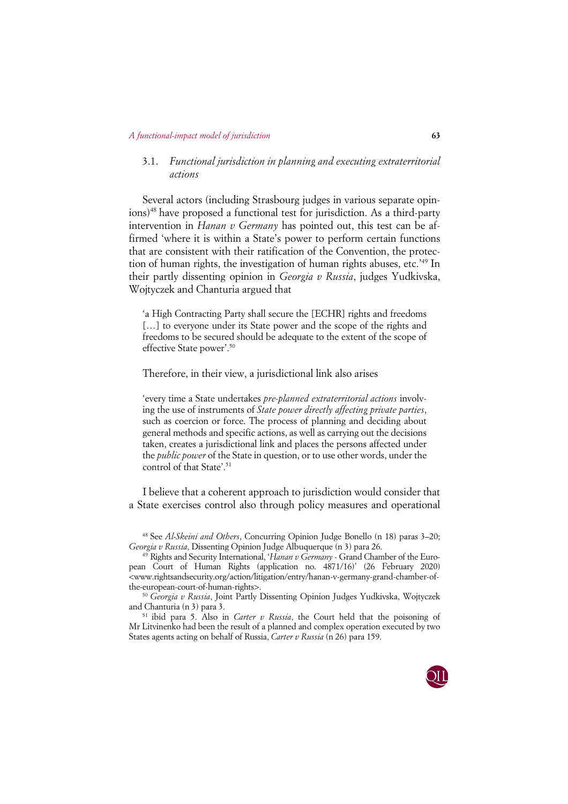# 3.1. *Functional jurisdiction in planning and executing extraterritorial actions*

Several actors (including Strasbourg judges in various separate opinions)48 have proposed a functional test for jurisdiction. As a third-party intervention in *Hanan v Germany* has pointed out, this test can be affirmed 'where it is within a State's power to perform certain functions that are consistent with their ratification of the Convention, the protection of human rights, the investigation of human rights abuses, etc.'49 In their partly dissenting opinion in *Georgia v Russia*, judges Yudkivska, Wojtyczek and Chanturia argued that

'a High Contracting Party shall secure the [ECHR] rights and freedoms [...] to everyone under its State power and the scope of the rights and freedoms to be secured should be adequate to the extent of the scope of effective State power'. 50

Therefore, in their view, a jurisdictional link also arises

'every time a State undertakes *pre-planned extraterritorial actions* involving the use of instruments of *State power directly affecting private parties*, such as coercion or force. The process of planning and deciding about general methods and specific actions, as well as carrying out the decisions taken, creates a jurisdictional link and places the persons affected under the *public power* of the State in question, or to use other words, under the control of that State'. 51

I believe that a coherent approach to jurisdiction would consider that a State exercises control also through policy measures and operational

<sup>51</sup> ibid para 5. Also in *Carter v Russia*, the Court held that the poisoning of Mr Litvinenko had been the result of a planned and complex operation executed by two States agents acting on behalf of Russia, *Carter v Russia* (n 26) para 159.



<sup>48</sup> See *Al-Skeini and Others*, Concurring Opinion Judge Bonello (n 18) paras 3–20; *Georgia v Russia*, Dissenting Opinion Judge Albuquerque (n 3) para 26.

<sup>49</sup> Rights and Security International, '*Hanan v Germany* - Grand Chamber of the European Court of Human Rights (application no. 4871/16)' (26 February 2020) <www.rightsandsecurity.org/action/litigation/entry/hanan-v-germany-grand-chamber-ofthe-european-court-of-human-rights>.

<sup>50</sup> *Georgia v Russia*, Joint Partly Dissenting Opinion Judges Yudkivska, Wojtyczek and Chanturia (n 3) para 3.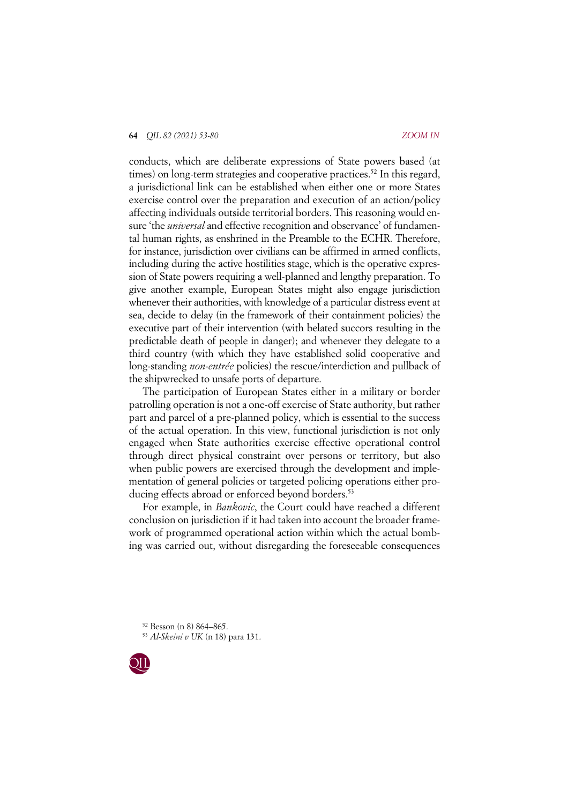conducts, which are deliberate expressions of State powers based (at times) on long-term strategies and cooperative practices.<sup>52</sup> In this regard, a jurisdictional link can be established when either one or more States exercise control over the preparation and execution of an action/policy affecting individuals outside territorial borders. This reasoning would ensure 'the *universal* and effective recognition and observance' of fundamental human rights, as enshrined in the Preamble to the ECHR. Therefore, for instance, jurisdiction over civilians can be affirmed in armed conflicts, including during the active hostilities stage, which is the operative expression of State powers requiring a well-planned and lengthy preparation. To give another example, European States might also engage jurisdiction whenever their authorities, with knowledge of a particular distress event at sea, decide to delay (in the framework of their containment policies) the executive part of their intervention (with belated succors resulting in the predictable death of people in danger); and whenever they delegate to a third country (with which they have established solid cooperative and long-standing *non-entrée* policies) the rescue/interdiction and pullback of the shipwrecked to unsafe ports of departure.

The participation of European States either in a military or border patrolling operation is not a one-off exercise of State authority, but rather part and parcel of a pre-planned policy, which is essential to the success of the actual operation. In this view, functional jurisdiction is not only engaged when State authorities exercise effective operational control through direct physical constraint over persons or territory, but also when public powers are exercised through the development and implementation of general policies or targeted policing operations either producing effects abroad or enforced beyond borders.<sup>53</sup>

For example, in *Bankovic*, the Court could have reached a different conclusion on jurisdiction if it had taken into account the broader framework of programmed operational action within which the actual bombing was carried out, without disregarding the foreseeable consequences

<sup>52</sup> Besson (n 8) 864–865. 53 *Al-Skeini v UK* (n 18) para 131.

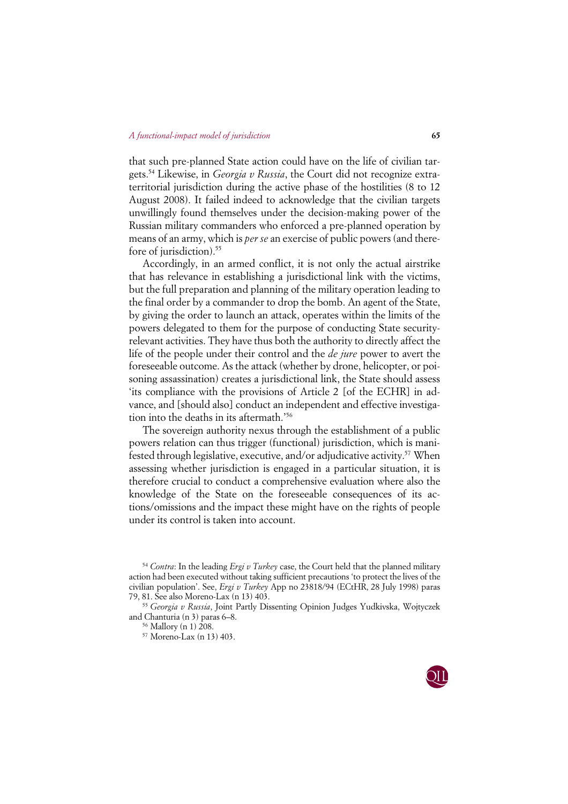that such pre-planned State action could have on the life of civilian targets.54 Likewise, in *Georgia v Russia*, the Court did not recognize extraterritorial jurisdiction during the active phase of the hostilities (8 to 12 August 2008). It failed indeed to acknowledge that the civilian targets unwillingly found themselves under the decision-making power of the Russian military commanders who enforced a pre-planned operation by means of an army, which is *per se* an exercise of public powers (and therefore of jurisdiction).<sup>55</sup>

Accordingly, in an armed conflict, it is not only the actual airstrike that has relevance in establishing a jurisdictional link with the victims, but the full preparation and planning of the military operation leading to the final order by a commander to drop the bomb. An agent of the State, by giving the order to launch an attack, operates within the limits of the powers delegated to them for the purpose of conducting State securityrelevant activities. They have thus both the authority to directly affect the life of the people under their control and the *de jure* power to avert the foreseeable outcome. As the attack (whether by drone, helicopter, or poisoning assassination) creates a jurisdictional link, the State should assess 'its compliance with the provisions of Article 2 [of the ECHR] in advance, and [should also] conduct an independent and effective investigation into the deaths in its aftermath.'56

The sovereign authority nexus through the establishment of a public powers relation can thus trigger (functional) jurisdiction, which is manifested through legislative, executive, and/or adjudicative activity.57 When assessing whether jurisdiction is engaged in a particular situation, it is therefore crucial to conduct a comprehensive evaluation where also the knowledge of the State on the foreseeable consequences of its actions/omissions and the impact these might have on the rights of people under its control is taken into account.

<sup>55</sup> *Georgia v Russia*, Joint Partly Dissenting Opinion Judges Yudkivska, Wojtyczek and Chanturia (n 3) paras 6–8.



<sup>54</sup> *Contra*: In the leading *Ergi v Turkey* case, the Court held that the planned military action had been executed without taking sufficient precautions 'to protect the lives of the civilian population'. See, *Ergi v Turkey* App no 23818/94 (ECtHR, 28 July 1998) paras 79, 81. See also Moreno-Lax (n 13) 403.

<sup>56</sup> Mallory (n 1) 208.

<sup>57</sup> Moreno-Lax (n 13) 403.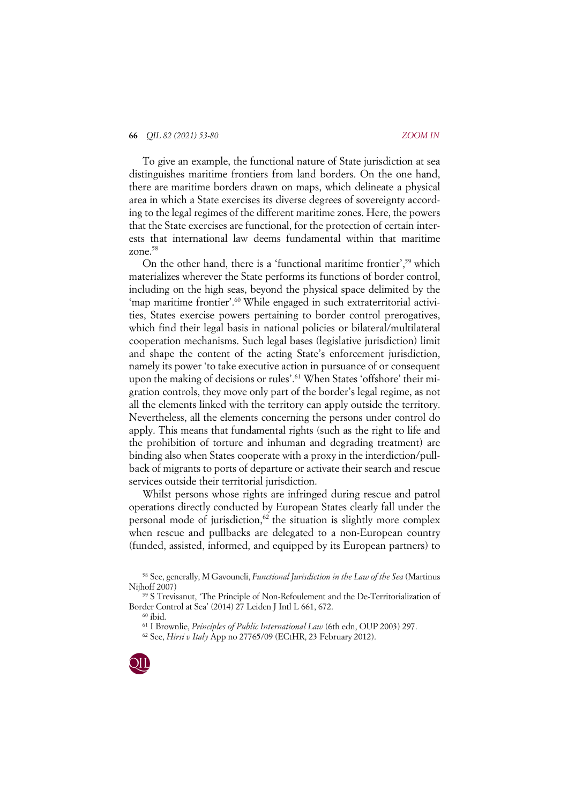### **66** *QIL 82 (2021) 53-80 ZOOM IN*

To give an example, the functional nature of State jurisdiction at sea distinguishes maritime frontiers from land borders. On the one hand, there are maritime borders drawn on maps, which delineate a physical area in which a State exercises its diverse degrees of sovereignty according to the legal regimes of the different maritime zones. Here, the powers that the State exercises are functional, for the protection of certain interests that international law deems fundamental within that maritime zone.<sup>58</sup>

On the other hand, there is a 'functional maritime frontier',59 which materializes wherever the State performs its functions of border control, including on the high seas, beyond the physical space delimited by the 'map maritime frontier'.<sup>60</sup> While engaged in such extraterritorial activities, States exercise powers pertaining to border control prerogatives, which find their legal basis in national policies or bilateral/multilateral cooperation mechanisms. Such legal bases (legislative jurisdiction) limit and shape the content of the acting State's enforcement jurisdiction, namely its power 'to take executive action in pursuance of or consequent upon the making of decisions or rules'.<sup>61</sup> When States 'offshore' their migration controls, they move only part of the border's legal regime, as not all the elements linked with the territory can apply outside the territory. Nevertheless, all the elements concerning the persons under control do apply. This means that fundamental rights (such as the right to life and the prohibition of torture and inhuman and degrading treatment) are binding also when States cooperate with a proxy in the interdiction/pullback of migrants to ports of departure or activate their search and rescue services outside their territorial jurisdiction.

Whilst persons whose rights are infringed during rescue and patrol operations directly conducted by European States clearly fall under the personal mode of jurisdiction, $62$  the situation is slightly more complex when rescue and pullbacks are delegated to a non-European country (funded, assisted, informed, and equipped by its European partners) to

<sup>62</sup> See, *Hirsi v Italy* App no 27765/09 (ECtHR, 23 February 2012).



<sup>58</sup> See, generally, M Gavouneli, *Functional Jurisdiction in the Law of the Sea* (Martinus Nijhoff 2007)

<sup>59</sup> S Trevisanut, 'The Principle of Non-Refoulement and the De-Territorialization of Border Control at Sea' (2014) 27 Leiden J Intl L 661, 672.

 $60$  ibid.

<sup>61</sup> I Brownlie, *Principles of Public International Law* (6th edn, OUP 2003) 297.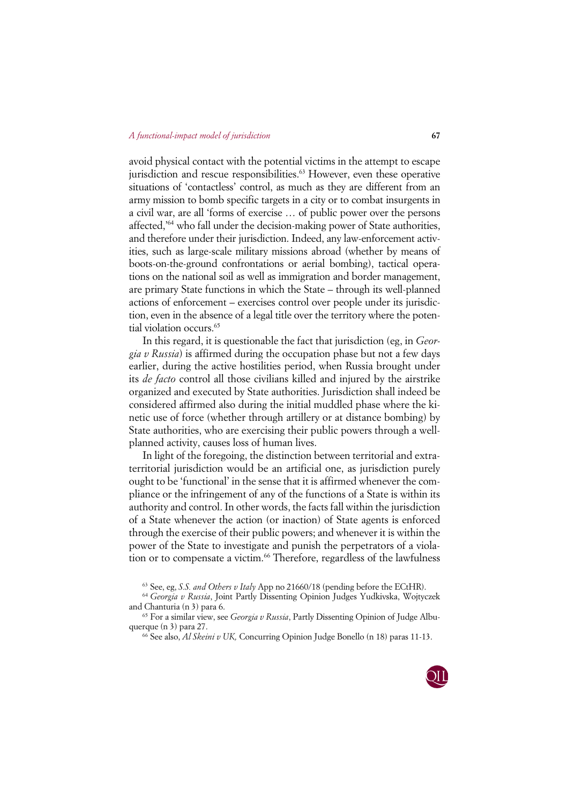avoid physical contact with the potential victims in the attempt to escape jurisdiction and rescue responsibilities. <sup>63</sup> However, even these operative situations of 'contactless' control, as much as they are different from an army mission to bomb specific targets in a city or to combat insurgents in a civil war, are all 'forms of exercise … of public power over the persons affected,'64 who fall under the decision-making power of State authorities, and therefore under their jurisdiction. Indeed, any law-enforcement activities, such as large-scale military missions abroad (whether by means of boots-on-the-ground confrontations or aerial bombing), tactical operations on the national soil as well as immigration and border management, are primary State functions in which the State – through its well-planned actions of enforcement – exercises control over people under its jurisdiction, even in the absence of a legal title over the territory where the potential violation occurs.<sup>65</sup>

In this regard, it is questionable the fact that jurisdiction (eg, in *Georgia v Russia*) is affirmed during the occupation phase but not a few days earlier, during the active hostilities period, when Russia brought under its *de facto* control all those civilians killed and injured by the airstrike organized and executed by State authorities. Jurisdiction shall indeed be considered affirmed also during the initial muddled phase where the kinetic use of force (whether through artillery or at distance bombing) by State authorities, who are exercising their public powers through a wellplanned activity, causes loss of human lives.

In light of the foregoing, the distinction between territorial and extraterritorial jurisdiction would be an artificial one, as jurisdiction purely ought to be 'functional' in the sense that it is affirmed whenever the compliance or the infringement of any of the functions of a State is within its authority and control. In other words, the facts fall within the jurisdiction of a State whenever the action (or inaction) of State agents is enforced through the exercise of their public powers; and whenever it is within the power of the State to investigate and punish the perpetrators of a violation or to compensate a victim.<sup>66</sup> Therefore, regardless of the lawfulness

<sup>66</sup> See also, *Al Skeini v UK,* Concurring Opinion Judge Bonello (n 18) paras 11-13.



<sup>63</sup> See, eg, *S.S. and Others v Italy* App no 21660/18 (pending before the ECtHR).

<sup>64</sup> *Georgia v Russia*, Joint Partly Dissenting Opinion Judges Yudkivska, Wojtyczek and Chanturia (n 3) para 6.

<sup>65</sup> For a similar view, see *Georgia v Russia*, Partly Dissenting Opinion of Judge Albuquerque (n 3) para 27.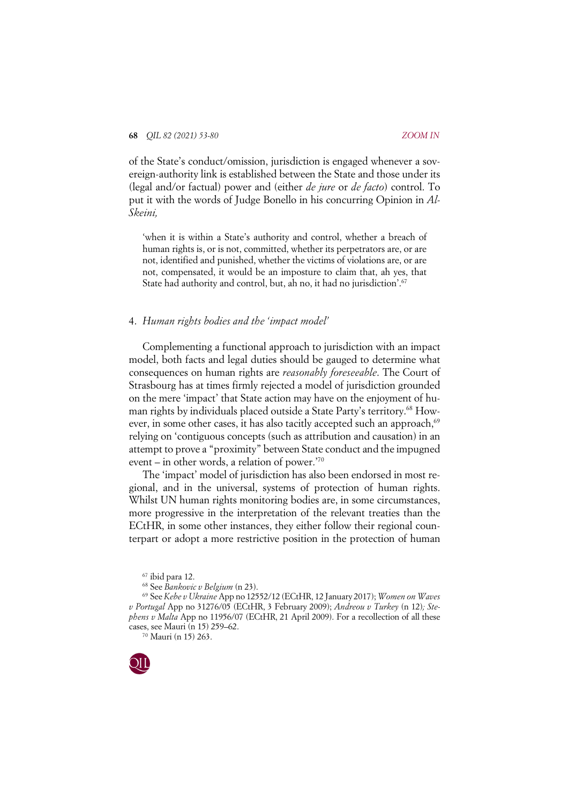of the State's conduct/omission, jurisdiction is engaged whenever a sovereign-authority link is established between the State and those under its (legal and/or factual) power and (either *de jure* or *de facto*) control. To put it with the words of Judge Bonello in his concurring Opinion in *Al-Skeini,*

'when it is within a State's authority and control, whether a breach of human rights is, or is not, committed, whether its perpetrators are, or are not, identified and punished, whether the victims of violations are, or are not, compensated, it would be an imposture to claim that, ah yes, that State had authority and control, but, ah no, it had no jurisdiction'. 67

## 4. *Human rights bodies and the 'impact model'*

Complementing a functional approach to jurisdiction with an impact model, both facts and legal duties should be gauged to determine what consequences on human rights are *reasonably foreseeable*. The Court of Strasbourg has at times firmly rejected a model of jurisdiction grounded on the mere 'impact' that State action may have on the enjoyment of human rights by individuals placed outside a State Party's territory.<sup>68</sup> However, in some other cases, it has also tacitly accepted such an approach,<sup>69</sup> relying on 'contiguous concepts (such as attribution and causation) in an attempt to prove a "proximity" between State conduct and the impugned event – in other words, a relation of power.'70

The 'impact' model of jurisdiction has also been endorsed in most regional, and in the universal, systems of protection of human rights. Whilst UN human rights monitoring bodies are, in some circumstances, more progressive in the interpretation of the relevant treaties than the ECtHR, in some other instances, they either follow their regional counterpart or adopt a more restrictive position in the protection of human

<sup>70</sup> Mauri (n 15) 263.



<sup>67</sup> ibid para 12.

<sup>68</sup> See *Bankovic v Belgium* (n 23).

<sup>69</sup> See *Kebe v Ukraine* App no 12552/12 (ECtHR, 12 January 2017); *Women on Waves v Portugal* App no 31276/05 (ECtHR, 3 February 2009); *Andreou v Turkey* (n 12)*; Stephens v Malta* App no 11956/07 (ECtHR, 21 April 2009). For a recollection of all these cases, see Mauri (n 15) 259–62.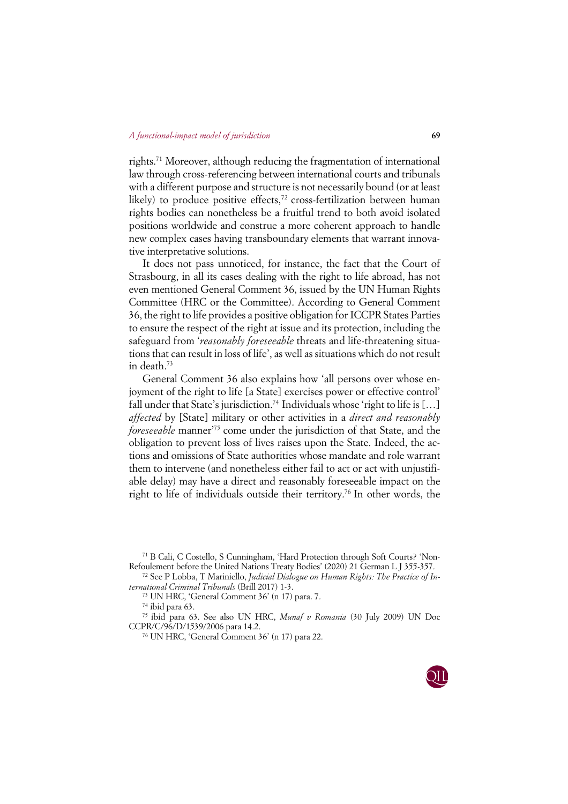rights.71 Moreover, although reducing the fragmentation of international law through cross-referencing between international courts and tribunals with a different purpose and structure is not necessarily bound (or at least likely) to produce positive effects,<sup>72</sup> cross-fertilization between human rights bodies can nonetheless be a fruitful trend to both avoid isolated positions worldwide and construe a more coherent approach to handle new complex cases having transboundary elements that warrant innovative interpretative solutions.

It does not pass unnoticed, for instance, the fact that the Court of Strasbourg, in all its cases dealing with the right to life abroad, has not even mentioned General Comment 36, issued by the UN Human Rights Committee (HRC or the Committee). According to General Comment 36, the right to life provides a positive obligation for ICCPR States Parties to ensure the respect of the right at issue and its protection, including the safeguard from '*reasonably foreseeable* threats and life-threatening situations that can result in loss of life', as well as situations which do not result in death.73

General Comment 36 also explains how 'all persons over whose enjoyment of the right to life [a State] exercises power or effective control' fall under that State's jurisdiction.<sup>74</sup> Individuals whose 'right to life is [...] *affected* by [State] military or other activities in a *direct and reasonably foreseeable* manner<sup>75</sup> come under the jurisdiction of that State, and the obligation to prevent loss of lives raises upon the State. Indeed, the actions and omissions of State authorities whose mandate and role warrant them to intervene (and nonetheless either fail to act or act with unjustifiable delay) may have a direct and reasonably foreseeable impact on the right to life of individuals outside their territory.76 In other words, the

<sup>71</sup> B Cali, C Costello, S Cunningham, 'Hard Protection through Soft Courts? 'Non-Refoulement before the United Nations Treaty Bodies' (2020) 21 German L J 355-357. 72 See P Lobba, T Mariniello, *Judicial Dialogue on Human Rights: The Practice of In-*

*ternational Criminal Tribunals* (Brill 2017) 1-3.

<sup>73</sup> UN HRC, 'General Comment 36' (n 17) para. 7.

<sup>74</sup> ibid para 63.

<sup>75</sup> ibid para 63. See also UN HRC, *Munaf v Romania* (30 July 2009) UN Doc CCPR/C/96/D/1539/2006 para 14.2.

<sup>76</sup> UN HRC, 'General Comment 36' (n 17) para 22.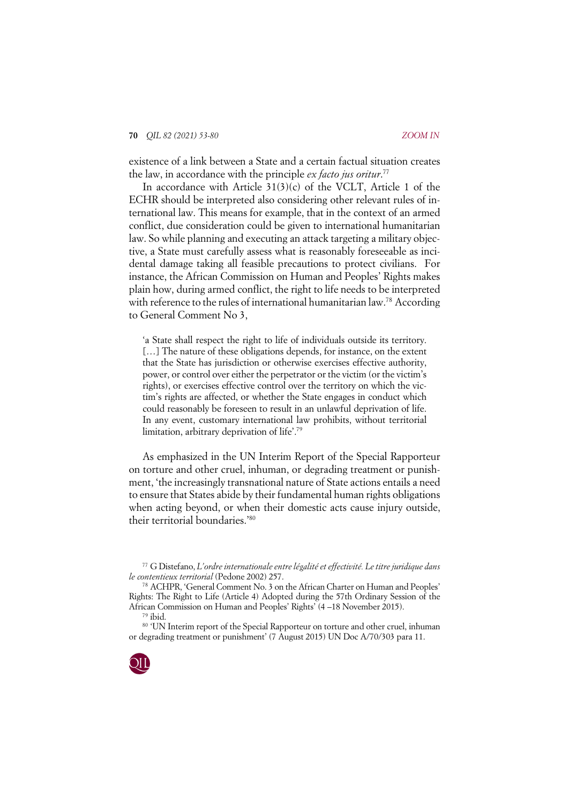existence of a link between a State and a certain factual situation creates the law, in accordance with the principle *ex facto jus oritur*. 77

In accordance with Article 31(3)(c) of the VCLT, Article 1 of the ECHR should be interpreted also considering other relevant rules of international law. This means for example, that in the context of an armed conflict, due consideration could be given to international humanitarian law. So while planning and executing an attack targeting a military objective, a State must carefully assess what is reasonably foreseeable as incidental damage taking all feasible precautions to protect civilians. For instance, the African Commission on Human and Peoples' Rights makes plain how, during armed conflict, the right to life needs to be interpreted with reference to the rules of international humanitarian law.<sup>78</sup> According to General Comment No 3,

'a State shall respect the right to life of individuals outside its territory. [...] The nature of these obligations depends, for instance, on the extent that the State has jurisdiction or otherwise exercises effective authority, power, or control over either the perpetrator or the victim (or the victim's rights), or exercises effective control over the territory on which the victim's rights are affected, or whether the State engages in conduct which could reasonably be foreseen to result in an unlawful deprivation of life. In any event, customary international law prohibits, without territorial limitation, arbitrary deprivation of life'. 79

As emphasized in the UN Interim Report of the Special Rapporteur on torture and other cruel, inhuman, or degrading treatment or punishment, 'the increasingly transnational nature of State actions entails a need to ensure that States abide by their fundamental human rights obligations when acting beyond, or when their domestic acts cause injury outside, their territorial boundaries.'80

<sup>80 &#</sup>x27;UN Interim report of the Special Rapporteur on torture and other cruel, inhuman or degrading treatment or punishment' (7 August 2015) UN Doc A/70/303 para 11.



<sup>77</sup> G Distefano, *L'ordre internationale entre légalité et effectivité. Le titre juridique dans le contentieux territorial* (Pedone 2002) 257.

<sup>78</sup> ACHPR, 'General Comment No. 3 on the African Charter on Human and Peoples' Rights: The Right to Life (Article 4) Adopted during the 57th Ordinary Session of the African Commission on Human and Peoples' Rights' (4 –18 November 2015).<br><sup>79</sup> ibid.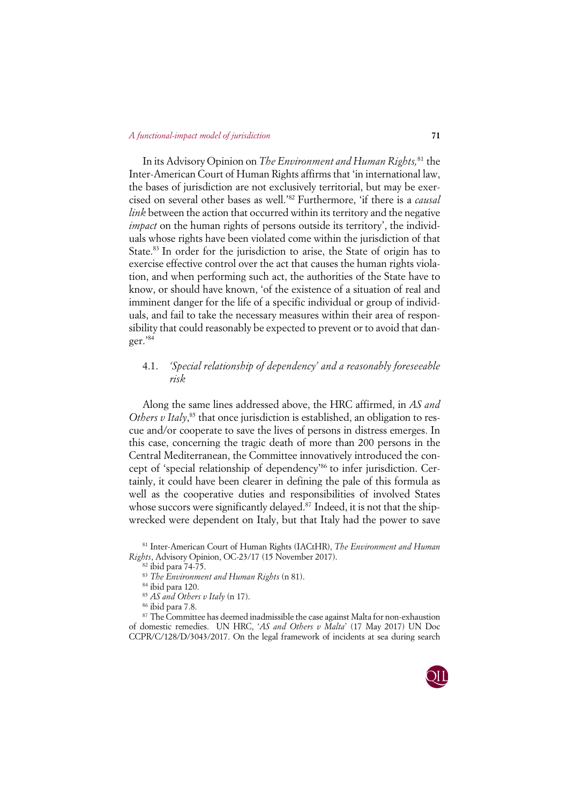In its Advisory Opinion on *The Environment and Human Rights,*<sup>81</sup> the Inter-American Court of Human Rights affirms that 'in international law, the bases of jurisdiction are not exclusively territorial, but may be exercised on several other bases as well.'82 Furthermore, 'if there is a *causal link* between the action that occurred within its territory and the negative *impact* on the human rights of persons outside its territory', the individuals whose rights have been violated come within the jurisdiction of that State.<sup>83</sup> In order for the jurisdiction to arise, the State of origin has to exercise effective control over the act that causes the human rights violation, and when performing such act, the authorities of the State have to know, or should have known, 'of the existence of a situation of real and imminent danger for the life of a specific individual or group of individuals, and fail to take the necessary measures within their area of responsibility that could reasonably be expected to prevent or to avoid that danger.'84

# 4.1. *'Special relationship of dependency' and a reasonably foreseeable risk*

Along the same lines addressed above, the HRC affirmed, in *AS and*  Others v Italy,<sup>85</sup> that once jurisdiction is established, an obligation to rescue and/or cooperate to save the lives of persons in distress emerges. In this case, concerning the tragic death of more than 200 persons in the Central Mediterranean, the Committee innovatively introduced the concept of 'special relationship of dependency'86 to infer jurisdiction. Certainly, it could have been clearer in defining the pale of this formula as well as the cooperative duties and responsibilities of involved States whose succors were significantly delayed.<sup>87</sup> Indeed, it is not that the shipwrecked were dependent on Italy, but that Italy had the power to save

<sup>&</sup>lt;sup>87</sup> The Committee has deemed inadmissible the case against Malta for non-exhaustion of domestic remedies. UN HRC, '*AS and Others v Malta*' (17 May 2017) UN Doc CCPR/C/128/D/3043/2017. On the legal framework of incidents at sea during search



<sup>81</sup> Inter-American Court of Human Rights (IACtHR), *The Environment and Human Rights*, Advisory Opinion, OC-23/17 (15 November 2017).

<sup>82</sup> ibid para 74-75.

<sup>83</sup> *The Environment and Human Rights* (n 81).

<sup>84</sup> ibid para 120.

<sup>85</sup> *AS and Others v Italy* (n 17).

<sup>86</sup> ibid para 7.8.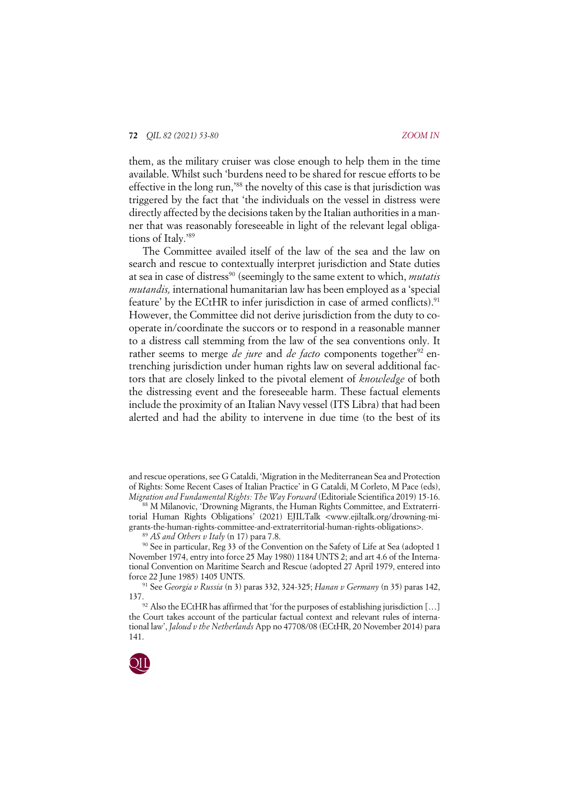them, as the military cruiser was close enough to help them in the time available. Whilst such 'burdens need to be shared for rescue efforts to be effective in the long run,<sup>88</sup> the novelty of this case is that jurisdiction was triggered by the fact that 'the individuals on the vessel in distress were directly affected by the decisions taken by the Italian authorities in a manner that was reasonably foreseeable in light of the relevant legal obligations of Italy.'89

The Committee availed itself of the law of the sea and the law on search and rescue to contextually interpret jurisdiction and State duties at sea in case of distress<sup>90</sup> (seemingly to the same extent to which, *mutatis mutandis,* international humanitarian law has been employed as a 'special feature' by the ECtHR to infer jurisdiction in case of armed conflicts).<sup>91</sup> However, the Committee did not derive jurisdiction from the duty to cooperate in/coordinate the succors or to respond in a reasonable manner to a distress call stemming from the law of the sea conventions only. It rather seems to merge *de jure* and *de facto* components together<sup>92</sup> entrenching jurisdiction under human rights law on several additional factors that are closely linked to the pivotal element of *knowledge* of both the distressing event and the foreseeable harm. These factual elements include the proximity of an Italian Navy vessel (ITS Libra) that had been alerted and had the ability to intervene in due time (to the best of its

<sup>137.&</sup>lt;br><sup>92</sup> Also the ECtHR has affirmed that 'for the purposes of establishing jurisdiction [...] the Court takes account of the particular factual context and relevant rules of international law', *Jaloud v the Netherlands* App no 47708/08 (ECtHR, 20 November 2014) para 141.



and rescue operations, see G Cataldi, 'Migration in the Mediterranean Sea and Protection of Rights: Some Recent Cases of Italian Practice' in G Cataldi, M Corleto, M Pace (eds), *Migration and Fundamental Rights: The Way Forward* (Editoriale Scientifica 2019) 15-16.

<sup>88</sup> M Milanovic, 'Drowning Migrants, the Human Rights Committee, and Extraterritorial Human Rights Obligations' (2021) EJILTalk <www.ejiltalk.org/drowning-migrants-the-human-rights-committee-and-extraterritorial-human-rights-obligations>.

<sup>89</sup> *AS and Others v Italy* (n 17) para 7.8.

<sup>90</sup> See in particular, Reg 33 of the Convention on the Safety of Life at Sea (adopted 1 November 1974, entry into force 25 May 1980) 1184 UNTS 2; and art 4.6 of the International Convention on Maritime Search and Rescue (adopted 27 April 1979, entered into force 22 June 1985) 1405 UNTS.

<sup>91</sup> See *Georgia v Russia* (n 3) paras 332, 324-325; *Hanan v Germany* (n 35) paras 142,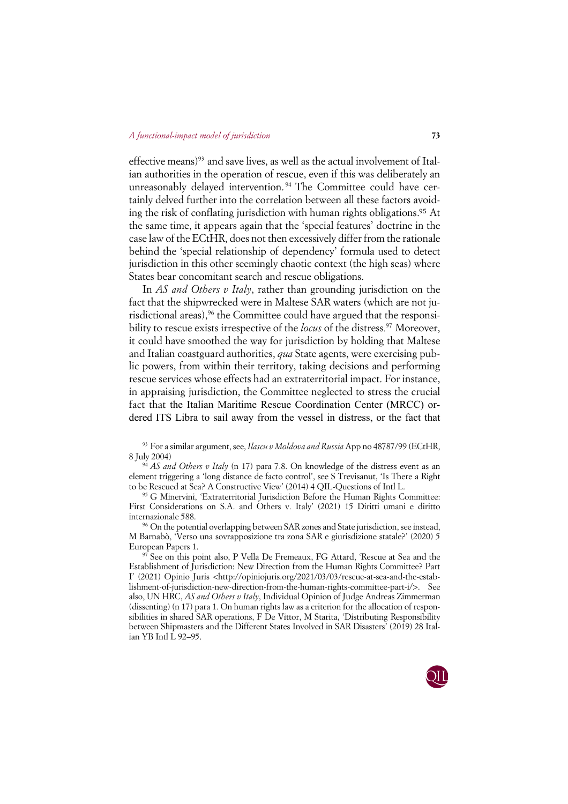effective means)<sup>93</sup> and save lives, as well as the actual involvement of Italian authorities in the operation of rescue, even if this was deliberately an unreasonably delayed intervention. <sup>94</sup> The Committee could have certainly delved further into the correlation between all these factors avoiding the risk of conflating jurisdiction with human rights obligations.<sup>95</sup> At the same time, it appears again that the 'special features' doctrine in the case law of the ECtHR, does not then excessively differ from the rationale behind the 'special relationship of dependency' formula used to detect jurisdiction in this other seemingly chaotic context (the high seas) where States bear concomitant search and rescue obligations.

In *AS and Others v Italy*, rather than grounding jurisdiction on the fact that the shipwrecked were in Maltese SAR waters (which are not jurisdictional areas),<sup>96</sup> the Committee could have argued that the responsibility to rescue exists irrespective of the *locus* of the distress*.* <sup>97</sup> Moreover, it could have smoothed the way for jurisdiction by holding that Maltese and Italian coastguard authorities, *qua* State agents, were exercising public powers, from within their territory, taking decisions and performing rescue services whose effects had an extraterritorial impact. For instance, in appraising jurisdiction, the Committee neglected to stress the crucial fact that the Italian Maritime Rescue Coordination Center (MRCC) ordered ITS Libra to sail away from the vessel in distress, or the fact that

<sup>93</sup> For a similar argument, see, *Ilascu v Moldova and Russia* App no 48787/99 (ECtHR, 8 July 2004)

<sup>94</sup> *AS and Others v Italy* (n 17) para 7.8. On knowledge of the distress event as an element triggering a 'long distance de facto control', see S Trevisanut, 'Is There a Right to be Rescued at Sea? A Constructive View' (2014) 4 QIL-Questions of Intl L.

<sup>95</sup> G Minervini, 'Extraterritorial Jurisdiction Before the Human Rights Committee: First Considerations on S.A. and Others v. Italy' (2021) 15 Diritti umani e diritto internazionale 588.

<sup>96</sup> On the potential overlapping between SAR zones and State jurisdiction, see instead, M Barnabò, 'Verso una sovrapposizione tra zona SAR e giurisdizione statale?' (2020) 5 European Papers 1.

<sup>97</sup> See on this point also, P Vella De Fremeaux, FG Attard, 'Rescue at Sea and the Establishment of Jurisdiction: New Direction from the Human Rights Committee? Part I' (2021) Opinio Juris <http://opiniojuris.org/2021/03/03/rescue-at-sea-and-the-establishment-of-jurisdiction-new-direction-from-the-human-rights-committee-part-i/>. See also, UN HRC, *AS and Others v Italy*, Individual Opinion of Judge Andreas Zimmerman (dissenting) (n 17) para 1. On human rights law as a criterion for the allocation of responsibilities in shared SAR operations, F De Vittor, M Starita, 'Distributing Responsibility between Shipmasters and the Different States Involved in SAR Disasters' (2019) 28 Italian YB Intl L 92–95.

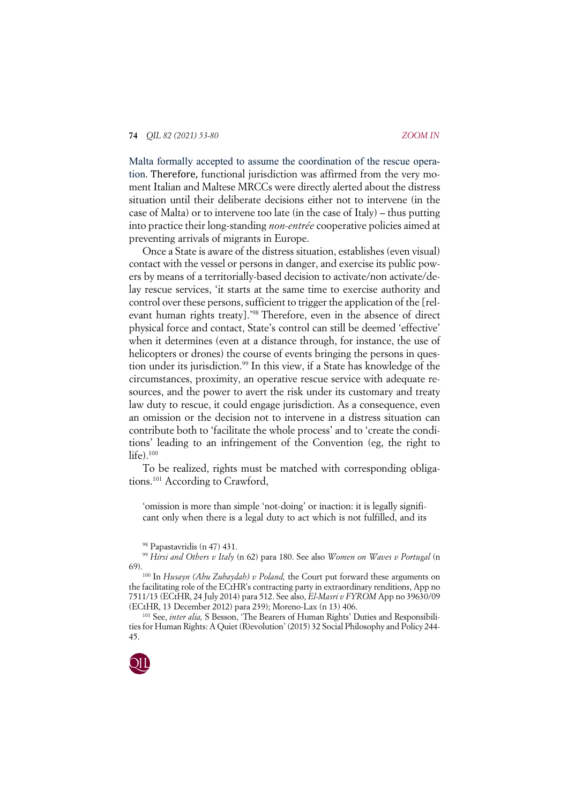Malta formally accepted to assume the coordination of the rescue operation. Therefore, functional jurisdiction was affirmed from the very moment Italian and Maltese MRCCs were directly alerted about the distress situation until their deliberate decisions either not to intervene (in the case of Malta) or to intervene too late (in the case of Italy) – thus putting into practice their long-standing *non-entrée* cooperative policies aimed at preventing arrivals of migrants in Europe.

Once a State is aware of the distress situation, establishes (even visual) contact with the vessel or persons in danger, and exercise its public powers by means of a territorially-based decision to activate/non activate/delay rescue services, 'it starts at the same time to exercise authority and control over these persons, sufficient to trigger the application of the [relevant human rights treaty].'98 Therefore, even in the absence of direct physical force and contact, State's control can still be deemed 'effective' when it determines (even at a distance through, for instance, the use of helicopters or drones) the course of events bringing the persons in question under its jurisdiction. <sup>99</sup> In this view, if a State has knowledge of the circumstances, proximity, an operative rescue service with adequate resources, and the power to avert the risk under its customary and treaty law duty to rescue, it could engage jurisdiction. As a consequence, even an omission or the decision not to intervene in a distress situation can contribute both to 'facilitate the whole process' and to 'create the conditions' leading to an infringement of the Convention (eg, the right to  $life)$ .<sup>100</sup>

To be realized, rights must be matched with corresponding obligations.101 According to Crawford,

'omission is more than simple 'not-doing' or inaction: it is legally significant only when there is a legal duty to act which is not fulfilled, and its

<sup>98</sup> Papastavridis (n 47) 431.

<sup>99</sup> *Hirsi and Others v Italy* (n 62) para 180. See also *Women on Waves v Portugal* (n 69). 100 In *Husayn (Abu Zubaydah) v Poland,* the Court put forward these arguments on

the facilitating role of the ECtHR's contracting party in extraordinary renditions, App no 7511/13 (ECtHR, 24 July 2014) para 512. See also, *El-Masri v FYROM* App no 39630/09 (ECtHR, 13 December 2012) para 239); Moreno-Lax (n 13) 406.

<sup>101</sup> See, *inter alia*, S Besson, 'The Bearers of Human Rights' Duties and Responsibilities for Human Rights: A Quiet (R)evolution' (2015) 32 Social Philosophy and Policy 244- 45.

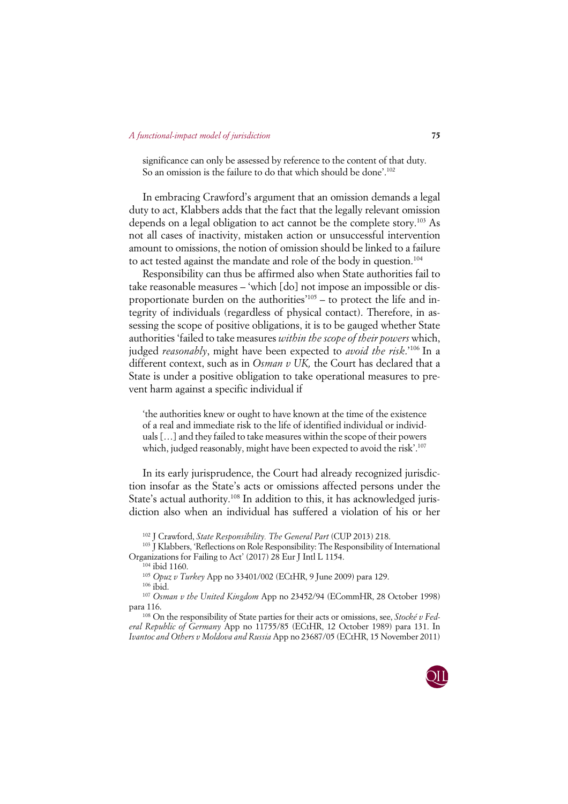significance can only be assessed by reference to the content of that duty. So an omission is the failure to do that which should be done'. 102

In embracing Crawford's argument that an omission demands a legal duty to act, Klabbers adds that the fact that the legally relevant omission depends on a legal obligation to act cannot be the complete story.103 As not all cases of inactivity, mistaken action or unsuccessful intervention amount to omissions, the notion of omission should be linked to a failure to act tested against the mandate and role of the body in question.<sup>104</sup>

Responsibility can thus be affirmed also when State authorities fail to take reasonable measures – 'which [do] not impose an impossible or disproportionate burden on the authorities'105 – to protect the life and integrity of individuals (regardless of physical contact). Therefore, in assessing the scope of positive obligations, it is to be gauged whether State authorities 'failed to take measures *within the scope of their powers* which, judged *reasonably*, might have been expected to *avoid the risk*.'106 In a different context, such as in *Osman v UK,* the Court has declared that a State is under a positive obligation to take operational measures to prevent harm against a specific individual if

'the authorities knew or ought to have known at the time of the existence of a real and immediate risk to the life of identified individual or individuals […] and they failed to take measures within the scope of their powers which, judged reasonably, might have been expected to avoid the risk'. 107

In its early jurisprudence, the Court had already recognized jurisdiction insofar as the State's acts or omissions affected persons under the State's actual authority.<sup>108</sup> In addition to this, it has acknowledged jurisdiction also when an individual has suffered a violation of his or her

<sup>102</sup> J Crawford, *State Responsibility. The General Part* (CUP 2013) 218.

<sup>103</sup> J Klabbers, 'Reflections on Role Responsibility: The Responsibility of International Organizations for Failing to Act' (2017) 28 Eur J Intl L 1154.

<sup>104</sup> ibid 1160.

<sup>105</sup> *Opuz v Turkey* App no 33401/002 (ECtHR, 9 June 2009) para 129.

 $106$ ibid.

<sup>107</sup> *Osman v the United Kingdom* App no 23452/94 (ECommHR, 28 October 1998) para 116.

<sup>108</sup> On the responsibility of State parties for their acts or omissions, see, *Stocké v Federal Republic of Germany* App no 11755/85 (ECtHR, 12 October 1989) para 131. In *Ivantoc and Others v Moldova and Russia* App no 23687/05 (ECtHR, 15 November 2011)

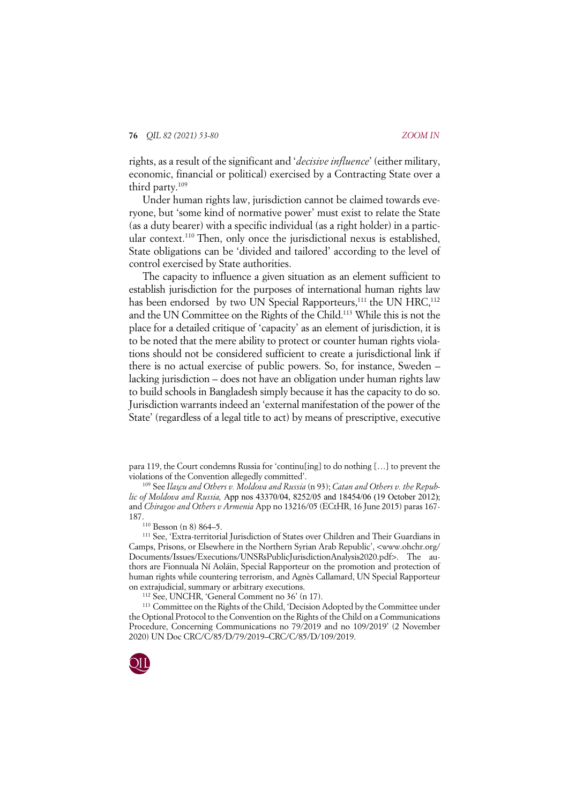rights, as a result of the significant and '*decisive influence*' (either military, economic, financial or political) exercised by a Contracting State over a third party.109

Under human rights law, jurisdiction cannot be claimed towards everyone, but 'some kind of normative power' must exist to relate the State (as a duty bearer) with a specific individual (as a right holder) in a particular context.110 Then, only once the jurisdictional nexus is established, State obligations can be 'divided and tailored' according to the level of control exercised by State authorities.

The capacity to influence a given situation as an element sufficient to establish jurisdiction for the purposes of international human rights law has been endorsed by two UN Special Rapporteurs,<sup>111</sup> the UN HRC,<sup>112</sup> and the UN Committee on the Rights of the Child.113 While this is not the place for a detailed critique of 'capacity' as an element of jurisdiction, it is to be noted that the mere ability to protect or counter human rights violations should not be considered sufficient to create a jurisdictional link if there is no actual exercise of public powers. So, for instance, Sweden – lacking jurisdiction – does not have an obligation under human rights law to build schools in Bangladesh simply because it has the capacity to do so. Jurisdiction warrants indeed an 'external manifestation of the power of the State' (regardless of a legal title to act) by means of prescriptive, executive

para 119, the Court condemns Russia for 'continu[ing] to do nothing […] to prevent the violations of the Convention allegedly committed'.

<sup>109</sup> See *Ilaşcu and Others v. Moldova and Russia* (n 93); *Catan and Others v. the Republic of Moldova and Russia,* App nos 43370/04, 8252/05 and 18454/06 (19 October 2012); and *Chiragov and Others v Armenia* App no 13216/05 (ECtHR, 16 June 2015) paras 167- 187.<br><sup>110</sup> Besson (n 8) 864–5.

<sup>111</sup> See, 'Extra-territorial Jurisdiction of States over Children and Their Guardians in Camps, Prisons, or Elsewhere in the Northern Syrian Arab Republic', <www.ohchr.org/ Documents/Issues/Executions/UNSRsPublicJurisdictionAnalysis2020.pdf>. The authors are Fionnuala Ní Aoláin, Special Rapporteur on the promotion and protection of human rights while countering terrorism, and Agnès Callamard, UN Special Rapporteur on extrajudicial, summary or arbitrary executions. 112 See, UNCHR, 'General Comment no 36' (n 17).

<sup>113</sup> Committee on the Rights of the Child, 'Decision Adopted by the Committee under the Optional Protocol to the Convention on the Rights of the Child on a Communications Procedure, Concerning Communications no 79/2019 and no 109/2019' (2 November 2020) UN Doc CRC/C/85/D/79/2019–CRC/C/85/D/109/2019.

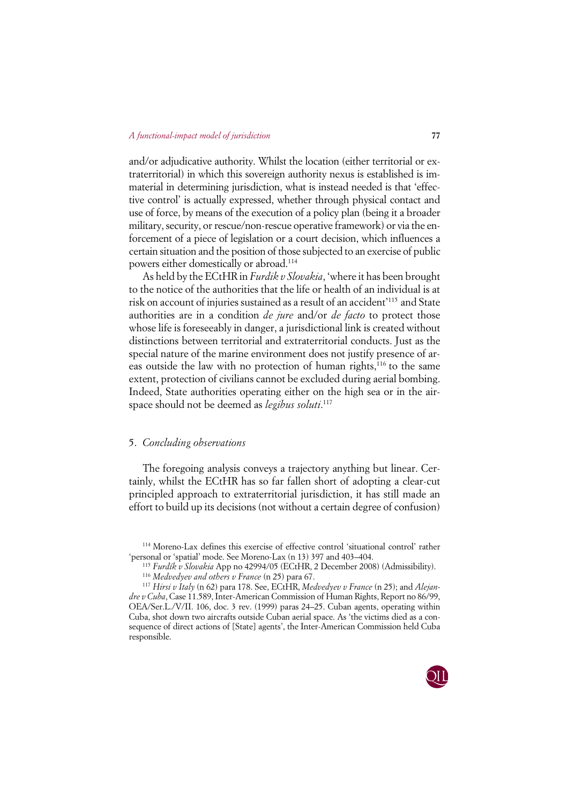and/or adjudicative authority. Whilst the location (either territorial or extraterritorial) in which this sovereign authority nexus is established is immaterial in determining jurisdiction, what is instead needed is that 'effective control' is actually expressed, whether through physical contact and use of force, by means of the execution of a policy plan (being it a broader military, security, or rescue/non-rescue operative framework) or via the enforcement of a piece of legislation or a court decision, which influences a certain situation and the position of those subjected to an exercise of public powers either domestically or abroad.114

As held by the ECtHR in *Furdik v Slovakia*, 'where it has been brought to the notice of the authorities that the life or health of an individual is at risk on account of injuries sustained as a result of an accident'115 and State authorities are in a condition *de jure* and/or *de facto* to protect those whose life is foreseeably in danger, a jurisdictional link is created without distinctions between territorial and extraterritorial conducts. Just as the special nature of the marine environment does not justify presence of areas outside the law with no protection of human rights,<sup>116</sup> to the same extent, protection of civilians cannot be excluded during aerial bombing. Indeed, State authorities operating either on the high sea or in the airspace should not be deemed as *legibus soluti*. 117

# 5. *Concluding observations*

The foregoing analysis conveys a trajectory anything but linear. Certainly, whilst the ECtHR has so far fallen short of adopting a clear-cut principled approach to extraterritorial jurisdiction, it has still made an effort to build up its decisions (not without a certain degree of confusion)

<sup>117</sup> *Hirsi v Italy* (n 62) para 178. See, ECtHR, *Medvedyev v France* (n 25); and *Alejandre v Cuba*, Case 11.589, Inter-American Commission of Human Rights, Report no 86/99, OEA/Ser.L./V/II. 106, doc. 3 rev. (1999) paras 24–25. Cuban agents, operating within Cuba, shot down two aircrafts outside Cuban aerial space. As 'the victims died as a consequence of direct actions of [State] agents', the Inter-American Commission held Cuba responsible.



<sup>114</sup> Moreno-Lax defines this exercise of effective control 'situational control' rather 'personal or 'spatial' mode. See Moreno-Lax (n 13) 397 and 403–404. 115 *Furdík v Slovakia* App no 42994/05 (ECtHR, 2 December 2008) (Admissibility).

<sup>116</sup> *Medvedyev and others v France* (n 25) para 67.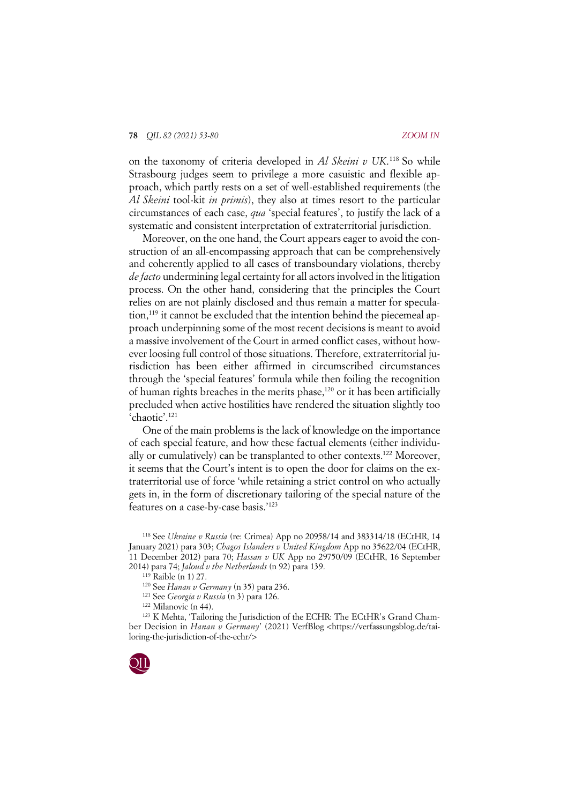on the taxonomy of criteria developed in *Al Skeini v UK*. <sup>118</sup> So while Strasbourg judges seem to privilege a more casuistic and flexible approach, which partly rests on a set of well-established requirements (the *Al Skeini* tool-kit *in primis*), they also at times resort to the particular circumstances of each case, *qua* 'special features', to justify the lack of a systematic and consistent interpretation of extraterritorial jurisdiction.

Moreover, on the one hand, the Court appears eager to avoid the construction of an all-encompassing approach that can be comprehensively and coherently applied to all cases of transboundary violations, thereby *de facto* undermining legal certainty for all actors involved in the litigation process. On the other hand, considering that the principles the Court relies on are not plainly disclosed and thus remain a matter for speculation,<sup>119</sup> it cannot be excluded that the intention behind the piecemeal approach underpinning some of the most recent decisions is meant to avoid a massive involvement of the Court in armed conflict cases, without however loosing full control of those situations. Therefore, extraterritorial jurisdiction has been either affirmed in circumscribed circumstances through the 'special features' formula while then foiling the recognition of human rights breaches in the merits phase,<sup>120</sup> or it has been artificially precluded when active hostilities have rendered the situation slightly too 'chaotic'.121

One of the main problems is the lack of knowledge on the importance of each special feature, and how these factual elements (either individually or cumulatively) can be transplanted to other contexts.<sup>122</sup> Moreover, it seems that the Court's intent is to open the door for claims on the extraterritorial use of force 'while retaining a strict control on who actually gets in, in the form of discretionary tailoring of the special nature of the features on a case-by-case basis.'123

<sup>123</sup> K Mehta, 'Tailoring the Jurisdiction of the ECHR: The ECtHR's Grand Chamber Decision in *Hanan v Germany*' (2021) VerfBlog <https://verfassungsblog.de/tailoring-the-jurisdiction-of-the-echr/>



<sup>118</sup> See *Ukraine v Russia* (re: Crimea) App no 20958/14 and 383314/18 (ECtHR, 14 January 2021) para 303; *Chagos Islanders v United Kingdom* App no 35622/04 (ECtHR, 11 December 2012) para 70; *Hassan v UK* App no 29750/09 (ECtHR, 16 September 2014) para 74; *Jaloud v the Netherlands* (n 92) para 139. 119 Raible (n 1) 27.

<sup>120</sup> See *Hanan v Germany* (n 35) para 236.

<sup>121</sup> See *Georgia v Russia* (n 3) para 126.

<sup>122</sup> Milanovic (n 44).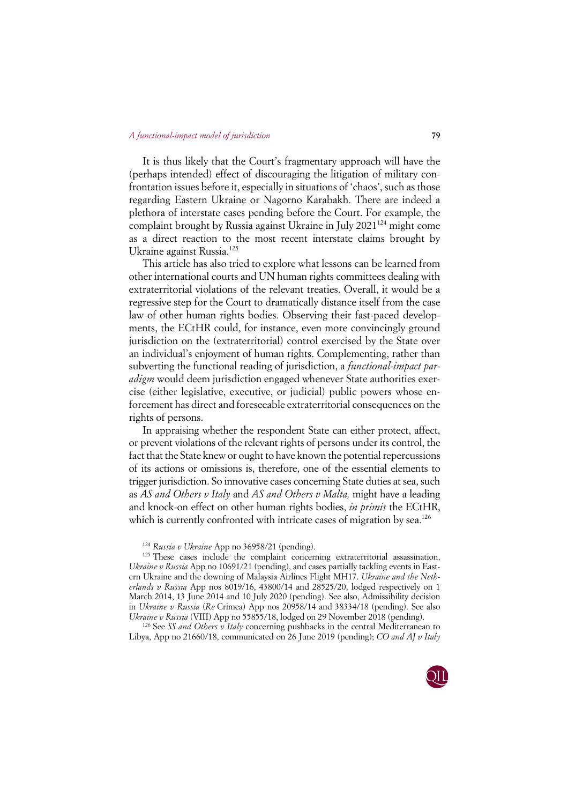It is thus likely that the Court's fragmentary approach will have the (perhaps intended) effect of discouraging the litigation of military confrontation issues before it, especially in situations of 'chaos', such as those regarding Eastern Ukraine or Nagorno Karabakh. There are indeed a plethora of interstate cases pending before the Court. For example, the complaint brought by Russia against Ukraine in July 2021<sup>124</sup> might come as a direct reaction to the most recent interstate claims brought by Ukraine against Russia. 125

This article has also tried to explore what lessons can be learned from other international courts and UN human rights committees dealing with extraterritorial violations of the relevant treaties. Overall, it would be a regressive step for the Court to dramatically distance itself from the case law of other human rights bodies. Observing their fast-paced developments, the ECtHR could, for instance, even more convincingly ground jurisdiction on the (extraterritorial) control exercised by the State over an individual's enjoyment of human rights. Complementing, rather than subverting the functional reading of jurisdiction, a *functional-impact paradigm* would deem jurisdiction engaged whenever State authorities exercise (either legislative, executive, or judicial) public powers whose enforcement has direct and foreseeable extraterritorial consequences on the rights of persons.

In appraising whether the respondent State can either protect, affect, or prevent violations of the relevant rights of persons under its control, the fact that the State knew or ought to have known the potential repercussions of its actions or omissions is, therefore, one of the essential elements to trigger jurisdiction. So innovative cases concerning State duties at sea, such as *AS and Others v Italy* and *AS and Others v Malta,* might have a leading and knock-on effect on other human rights bodies, *in primis* the ECtHR, which is currently confronted with intricate cases of migration by sea.<sup>126</sup>

Libya, App no 21660/18, communicated on 26 June 2019 (pending); *CO and AJ v Italy*



<sup>124</sup> *Russia v Ukraine* App no 36958/21 (pending).

<sup>&</sup>lt;sup>125</sup> These cases include the complaint concerning extraterritorial assassination, *Ukraine v Russia* App no 10691/21 (pending), and cases partially tackling events in Eastern Ukraine and the downing of Malaysia Airlines Flight MH17. *Ukraine and the Netherlands v Russia* App nos 8019/16, 43800/14 and 28525/20, lodged respectively on 1 March 2014, 13 June 2014 and 10 July 2020 (pending). See also, Admissibility decision in *Ukraine v Russia* (*Re* Crimea) App nos 20958/14 and 38334/18 (pending). See also *Ukraine v Russia* (VIII) App no 55855/18, lodged on 29 November 2018 (pending).<br><sup>126</sup> See *SS and Others v Italy* concerning pushbacks in the central Mediterranean to